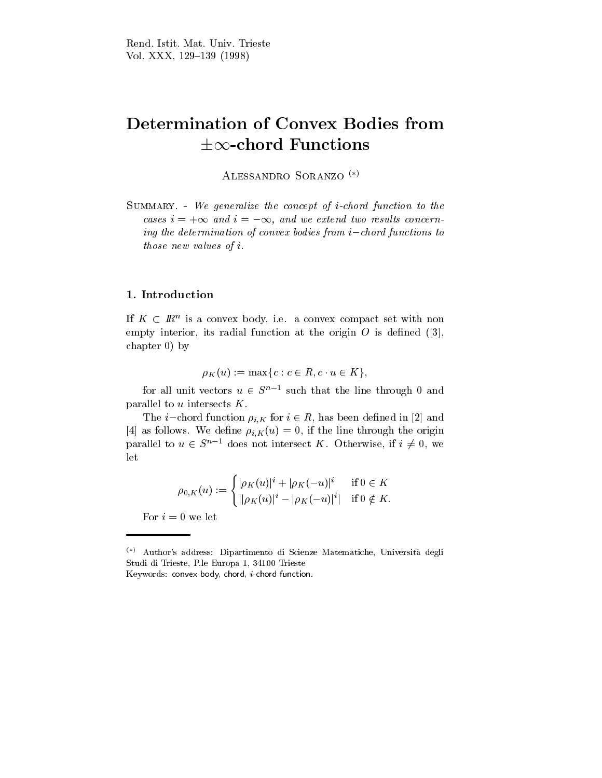# Determination of Convex Bodies from  $\pm\infty$ -chord Functions

ALESSANDRO SORANZO<sup>(\*)</sup>

Summary. - We generalize the concept of i-chord function to the cases  $i = +\infty$  and  $i = -\infty$ , and we extend two results concerning the determination of convex bodies from  $i-$  chord functions to  $\;$ those new values of i.

## 1. Introduction

If  $K \subset I\!\!R^+$  is a convex body, i.e. a convex compact set with nonempty interior, its radial function at the origin  $O$  is defined ([3], chapter 0) by

$$
\rho_K(u) := \max\{c : c \in R, c \cdot u \in K\},\
$$

for all unit vectors  $u \in S^{n-1}$  such that the line through 0 and parallel to  $u$  intersects  $K$ .

The *i*-chord function  $\rho_{i,K}$  for  $i \in R$ , has been defined in [2] and [4] as follows. We define  $\rho_{i,K}(u) = 0$ , if the line through the origin parallel to  $u \in S^{n-1}$  does not intersect K. Otherwise, if  $i \neq 0$ , we let

$$
\rho_{0,K}(u) := \begin{cases} |\rho_K(u)|^i + |\rho_K(-u)|^i & \text{ if } 0 \in K \\ ||\rho_K(u)|^i - |\rho_K(-u)|^i| & \text{ if } 0 \notin K. \end{cases}
$$

For  $i = 0$  we let

 $\binom{(*)}{*}$  Author's address: Dipartimento di Scienze Matematiche, Università degli Studi di Trieste, P.le Europa 1, 34100 Trieste Keywords: convex body, chord, i-chord function.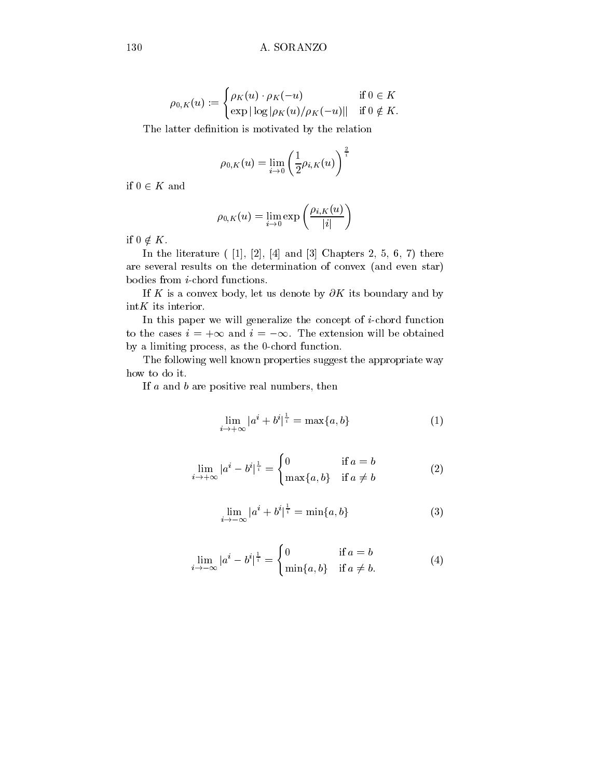$$
\rho_{0,K}(u) := \begin{cases} \rho_K(u) \cdot \rho_K(-u) & \text{if } 0 \in K \\ \exp|\log|\rho_K(u)/\rho_K(-u)| & \text{if } 0 \notin K. \end{cases}
$$

The latter definition is motivated by the relation

$$
\rho_{0,K}(u)=\lim_{i\to 0}\left(\frac{1}{2}\rho_{i,K}(u)\right)^{\frac{2}{i}}
$$

if  $0 \in K$  and

$$
\rho_{0,K}(u)=\lim_{i\to 0}\exp\left(\frac{\rho_{i,K}(u)}{|i|}\right)
$$

if  $0 \notin K$ .<br>In the literature ( [1], [2], [4] and [3] Chapters 2, 5, 6, 7) there are several results on the determination of convex (and even star) bodies from i-chord functions.

If K is a convex body, let us denote by  $\partial K$  its boundary and by  $intK$  its interior.

In this paper we will generalize the concept of i-chord function to the cases  $i = +\infty$  and  $i = -\infty$ . The extension will be obtained by a limiting process, as the 0-chord function.

The following well known properties suggest the appropriate way how to do it.

If a and b are positive real numbers, then

$$
\lim_{i \to +\infty} |a^i + b^i|^{\frac{1}{i}} = \max\{a, b\} \tag{1}
$$

$$
\lim_{i \to +\infty} |a^i - b^i|^{\frac{1}{i}} = \begin{cases} 0 & \text{if } a = b \\ \max\{a, b\} & \text{if } a \neq b \end{cases}
$$
 (2)

$$
\lim_{i \to -\infty} |a^i + b^i|^{\frac{1}{i}} = \min\{a, b\} \tag{3}
$$

$$
\lim_{i \to -\infty} |a^i - b^i|^{\frac{1}{i}} = \begin{cases} 0 & \text{if } a = b \\ \min\{a, b\} & \text{if } a \neq b. \end{cases}
$$
 (4)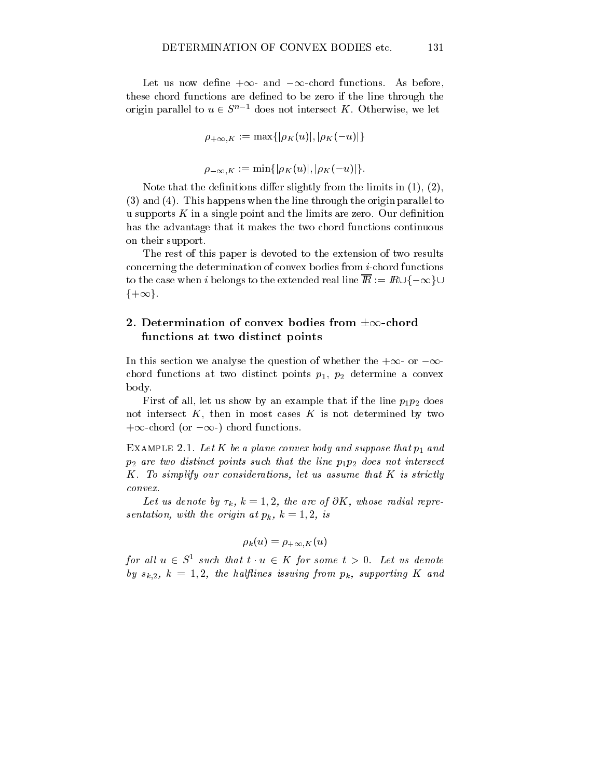Let us now define  $+\infty$ - and  $-\infty$ -chord functions. As before, these chord functions are defined to be zero if the line through the origin parallel to  $u \in S^{n-1}$  does not intersect K. Otherwise, we let

$$
\rho_{+\infty,K} := \max\{|\rho_K(u)|, |\rho_K(-u)|\}
$$
  

$$
\rho_{-\infty,K} := \min\{|\rho_K(u)|, |\rho_K(-u)|\}.
$$

Note that the definitions differ slightly from the limits in  $(1), (2),$ (3) and (4). This happens when the line through the origin parallel to u supports  $K$  in a single point and the limits are zero. Our definition has the advantage that it makes the two chord functions continuous on their support.

The rest of this paper is devoted to the extension of two results concerning the determination of convex bodies from i-chord functions to the case when i belongs to the extended real line  $\overline{R} := R \cup \{-\infty\} \cup$  $\{+\infty\}.$ 

## 2. Determination of convex bodies from  $\pm \infty$ -chord functions at two distinct points

In this section we analyse the question of whether the  $+\infty$ - or  $-\infty$ chord functions at two distinct points  $p_1$ ,  $p_2$  determine a convex body.

First of all, let us show by an example that if the line  $p_1p_2$  does not intersect  $K$ , then in most cases  $K$  is not determined by two  $+\infty$ -chord (or  $-\infty$ ) chord functions.

EXAMPLE 2.1. Let  $K$  be a plane convex body and suppose that  $p_1$  and  $p_2$  are two distinct points such that the line  $p_1p_2$  does not intersect K. To simplify our considerations, let us assume that K is strictly convex.

Let us achole by  $\iota_k$ ,  $\kappa = 1, 2,$  the arc of  $\sigma_K$ , whose radial representation, with the origin at  $p_{\bm{n}}$ , is  $\equiv$  1; 2, is

$$
\rho_k(u)=\rho_{+\infty,K}(u)
$$

for all  $u \in S^-$  such that  $t \cdot u \in K$  for some  $t > 0$ . Let us denote ing from the from phase issuing from particle and provide the half from phase is the from particle and the for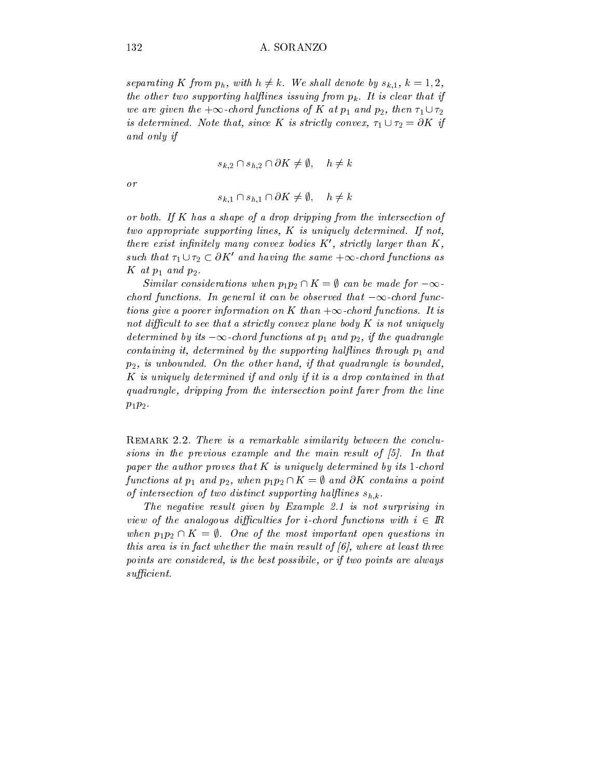separating  $K$  from  $p_h$ , with  $h \neq \kappa$ . We shall denote by  $s_{k,1}, \, \kappa = 1, 2,$  $\mu$  once two supporting narjunes issuing from  $\mu_k$ . It is clear that if we are given the  $+\infty$ -chora functions of  $\boldsymbol{\Lambda}$  at  $p_1$  and  $p_2$ , then  $\tau_1 \cup \tau_2$ is determined. Note that, since  $\bf{K}$  is strictly convex,  $\tau_1 \cup \tau_2 = \sigma \bf{K}$  if and only in the state of the state of the state of the state of the state of the state of the state of the state of the state of the state of the state of the state of the state of the state of the state of the state of th

$$
s_{k,2} \cap s_{h,2} \cap \partial K \neq \emptyset, \quad h \neq k
$$

or

$$
s_{k,1} \cap s_{h,1} \cap \partial K \neq \emptyset, \quad h \neq k
$$

or both. If K has a shape of a drop dripping from the intersection of two appropriate supporting lines, K is uniquely determined. If not, there exist infinitely many convex boates  $K$ , strictly larger than  $K$ , such that  $\tau_1 \cup \tau_2 \subset o$  and having the same  $+\infty$ -chord functions as  $K$  at  $p_1$  and  $p_2$ .

Similar considerations when  $p_1p_2 \cap \mathbf{A} = \emptyset$  can be made for  $-\infty$ chora functions. In general it can be observed that  $-\infty$ -chora functions aive a poorer information on  $K$  than  $+\infty$ -chora functions. It is  $n$ ot diculture to see that a strictly convex plane body II is not uniquely  $\alpha$ determined by its  $-\infty$ -chord functions at  $p_1$  and  $p_2,$  if the quadrangle containing it, determined by the supporting hal
ines through p1 and  $p_2$ , is unbounded. On the other hand, if that quadrangle is bounded, K is uniquely determined if and only if it is a drop contained in that quadrangle, dripping from the intersection point farer from the line  $p_1p_2$ .

REMARK 2.2. There is a remarkable similarity between the conclusions in the previous example and the main result of [5]. In that  $p$ uper the author proves that II is uniquely determined by its 1-chord  $\alpha$ functions at  $p_1$  and  $p_2$ , when  $p_1p_2 \cap \mathbf{K} = \emptyset$  and  $\partial \mathbf{K}$  contains a point of intersection of two distinct supporting hal
ines sh;k.

The negative result given by Example 2.1 is not surprising in view of the analogous atflicatives for i-chord functions with  $i\in I\!\!R$ when  $p_1p_2 \cap \mathbf{\Lambda} = \emptyset$ . One of the most important open questions in this area is in fact whether the main result of  $[6]$ , where at least three points are considered, is the best possibile, or if two points are always $sufficient.$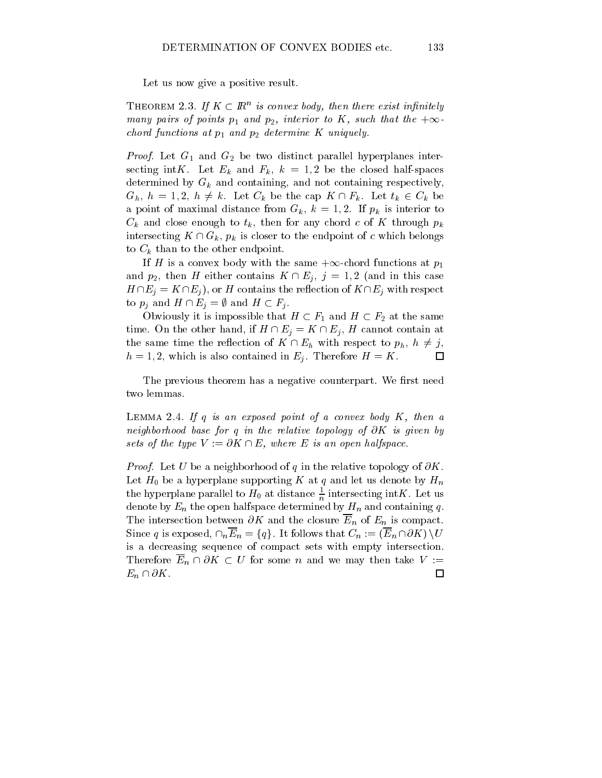Let us now give a positive result.

**THEOREM 2.3. If**  $K \subseteq \mathbb{R}^n$  **is convex body, then there exist infinitely** many pairs of points  $p_1$  and  $p_2$ , interior to  $\bm{\Lambda}$ , such that the  $+\infty$ chord functions at p1 and p2 determine <sup>K</sup> uniquely.

Proof. Let G1 and G2 be two distinct parallel hyperplanes intersecting intK. Let  $E_k$  and  $F_k$ ,  $k = 1,2$  be the closed half-spaces determined by  $G_k$  and containing, and not containing respectively,  $G_h$ ,  $h = 1, 2, h \neq k$ . Let  $C_k$  be the cap  $K \cap F_k$ . Let  $t_k \in C_k$  be a point of maximal distance from  $G_k$ ,  $k = 1, 2$ . If  $p_k$  is interior to  $C_k$  and close enough to  $t_k$ , then for any chord c of K through  $p_k$ intersecting  $K \cap G_k$ ,  $p_k$  is closer to the endpoint of c which belongs to  $C_k$  than to the other endpoint.

If H is a convex body with the same  $+\infty$ -chord functions at  $p_1$ and  $p_2$ , then H either contains  $K \cap E_i$ ,  $j = 1, 2$  (and in this case  $H \cap E_j = K \cap E_j$ , or H contains the reflection of  $K \cap E_j$  with respect to  $p_i$  and  $H \cap E_j = \emptyset$  and  $H \subset F_j$ .

Obviously it is impossible that  $H \subset F_1$  and  $H \subset F_2$  at the same time. On the other hand, if  $H \cap E_i = K \cap E_i$ , H cannot contain at the same time the reflection of  $K \cap E_h$  with respect to  $p_h$ ,  $h \neq j$ ,  $h = 1, 2$ , which is also contained in  $E_i$ . Therefore  $H = K$ .

The previous theorem has a negative counterpart. We first need two lemmas.

LEMMA 2.4. If  $q$  is an exposed point of a convex body  $K$ , then a neighborhood base for q in the relative topology of@K is given by sets of the type  $V := \partial K \sqcup E$ , where E is an open halfspace.

Proof. Let U be a neighborhood of q in the relative topology of @K. Let  $H_0$  be a hyperplane supporting K at q and let us denote by  $H_n$ the hyperplane parallel to  $H_0$  at distance  $\frac{1}{n}$  intersecting intK. Let us denote by  $E_n$  the open halfspace determined by  $H_n$  and containing q. The intersection between  $\partial K$  and the closure  $\overline{E}_n$  of  $E_n$  is compact. Since q is exposed,  $\cap_n \overline{E}_n = \{q\}$ . It follows that  $C_n := (\overline{E}_n \cap \partial K) \setminus U$ is a decreasing sequence of compact sets with empty intersection. Therefore  $\overline{E}_n \cap \partial K \subset U$  for some n and we may then take  $V :=$  $E_n \cap \partial K$ .  $\Box$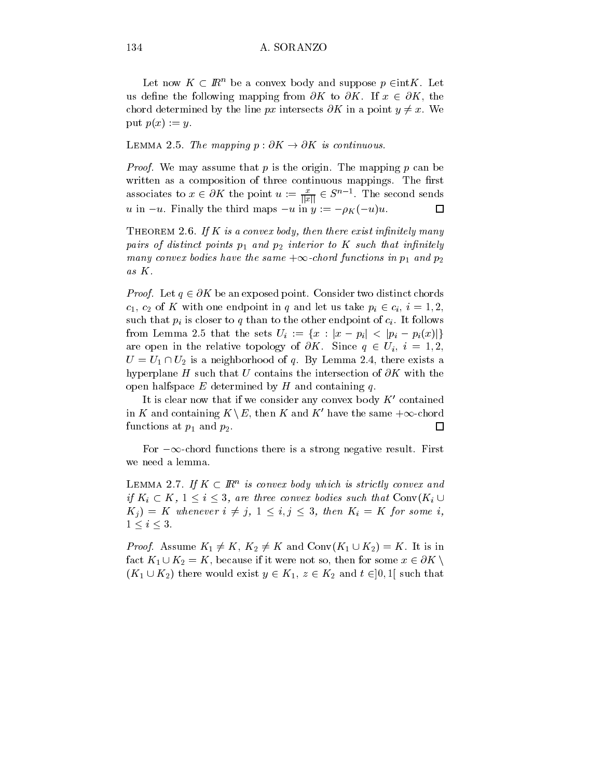Let now  $K \subset \mathbb{R}^n$  be a convex body and suppose  $p \in \text{int}K$ . Let us define the following mapping from  $\partial K$  to  $\partial K$ . If  $x \in \partial K$ , the chord determined by the line px intersects  $\partial K$  in a point  $y \neq x$ . We put  $p(x) := y$ .

LEMMA 2.5. The mapping  $p : \partial K \to \partial K$  is continuous.

Proof. We may assume that p is the origin. The mapping p can be written as a composition of three continuous mappings. The first associates to  $x \in \partial X$  the point  $u := \frac{1}{\|\tilde{x}\|} \in S$ . The second sends u in  $-u$ . Finally the third maps  $-u$  in  $y := -\rho_K(-u)u$ . 口

THEOREM 2.6. If  $K$  is a convex body, then there exist infinitely many  $p$  and a  $j$  and distinct points p1 and p2 interior to K such that in the influence  $\boldsymbol{\eta}$ many convex boates have the same  $+\infty$ -chora functions in  $p_1$  and  $p_2$ as K.

*Proof.* Let  $q \in \partial \mathbf{\Lambda}$  be an exposed point. Consider two distinct chords  $c_1, c_2$  of K with one endpoint in q and let us take  $p_i \in c_i, i = 1, 2$ , such that  $p_i$  is closer to q than to the other endpoint of  $c_i$ . It follows from Lemma 2.5 that the sets  $U_i := \{x : |x - p_i| < |p_i - p_i(x)|\}$ are open in the relative topology of  $\partial K$ . Since  $q \in U_i$ ,  $i = 1, 2$ ,  $U = U_1 \cap U_2$  is a neighborhood of q. By Lemma 2.4, there exists a hyperplane H such that U contains the intersection of  $\partial K$  with the open halfspace  $E$  determined by  $H$  and containing  $q$ .

It is clear now that if we consider any convex body  $K'$  contained in K and containing  $K \setminus E$ , then K and K' have the same  $+\infty$ -chord functions at  $p_1$  and  $p_2$ .  $\Box$ 

For  $-\infty$ -chord functions there is a strong negative result. First we need a lemma.

LEMMA 2.1. If  $K \subseteq I\!\!R^+$  is convex boay which is strictly convex and if  $K_i \subset K$ ,  $1 \leq i \leq 3$ , are three convex boates such that  $\text{Conv}(K_i \cup$  $K_j$  = K whenever  $i \neq j$ ,  $1 \leq i, j \leq 3$ , then  $K_i = K$  for some i,  $1 \leq i \leq 3$ .

*Proof.* Assume  $\mathbf{A}_1 \neq \mathbf{A}$ ,  $\mathbf{A}_2 \neq \mathbf{A}$  and  $\text{Conv}(\mathbf{A}_1 \cup \mathbf{A}_2) = \mathbf{A}$ . It is in fact  $K_1 \cup K_2 = K$ , because if it were not so, then for some  $x \in \partial K \setminus$  $(K_1 \cup K_2)$  there would exist  $y \in K_1$ ,  $z \in K_2$  and  $t \in ]0,1[$  such that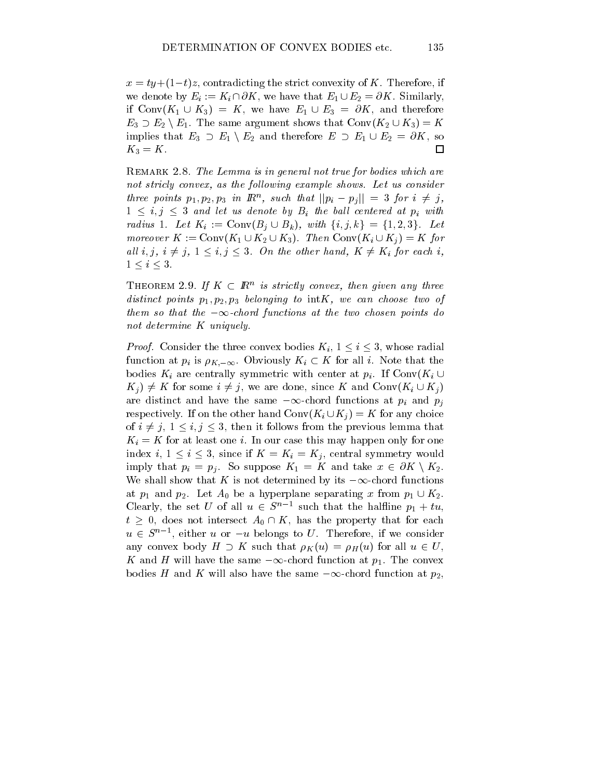$x = ty+(1-t)z$ , contradicting the strict convexity of K. Therefore, if we denote by  $E_i := K_i \cap \partial K$ , we have that  $E_1 \cup E_2 = \partial K$ . Similarly, if  $Conv(K_1 \cup K_3) = K$ , we have  $E_1 \cup E_3 = \partial K$ , and therefore  $E_3 \supset E_2 \setminus E_1$ . The same argument shows that  $Conv(K_2 \cup K_3) = K$ implies that  $E_3 \supset E_1 \setminus E_2$  and therefore  $E \supset E_1 \cup E_2 = \partial K$ , so  $K_3 = K$ .  $\Box$ 

REMARK 2.8. The Lemma is in general not true for bodies which are  $n$ ot stricty convex, as the following example shows. Let us consider three points  $p_1, p_2, p_3$  in  $\mathbb{H}^n$ , such that  $||p_i - p_j|| = 3$  for  $i \neq j$ ,  $1 \leq i, j \leq 3$  and let us denote by  $B_i$  the ball centered at  $p_i$  with radius 1. Let  $K_i := \text{Conv}(B_i \cup B_k)$ , with  $\{i, j, k\} = \{1, 2, 3\}$ . Let moreover  $\mathbf{A} := \text{Conv}(\mathbf{A}_1 \cup \mathbf{A}_2 \cup \mathbf{A}_3)$ . Then  $\text{Conv}(\mathbf{A}_i \cup \mathbf{A}_j) = \mathbf{A}$  for all  $i, j, i \neq j, 1 \leq i, j \leq s$ . On the other hand,  $K \neq K_i$  for each  $i,$  $1 \leq i \leq 3$ .

**THEOREM 2.9. If**  $K \subseteq \mathbb{R}^n$  **is strictly convex, then given any three** distinct points p1; p2; p3 belonging to intK, we can choose two of them so that the  $-\infty$ -chora functions at the two chosen points ao  $$ not determine K uniquely.

*Proof.* Consider the three convex bodies  $K_i$ ,  $1 \leq i \leq 3$ , whose radial function at  $p_i$  is  $\rho_{K,-\infty}$ . Obviously  $K_i \subset K$  for all i. Note that the bodies  $K_i$  are centrally symmetric with center at  $p_i$ . If Conv $(K_i \cup$  $K_i$   $\neq K$  for some  $i \neq j$ , we are done, since K and Conv $(K_i \cup K_j)$ are distinct and have the same  $-\infty$ -chord functions at  $p_i$  and  $p_j$ respectively. If on the other hand  $Conv(K_i \cup K_j) = K$  for any choice of  $i \neq j$ ,  $1 \leq i, j \leq 3$ , then it follows from the previous lemma that  $K_i = K$  for at least one *i*. In our case this may happen only for one index i,  $1 \leq i \leq 3$ , since if  $K = K_i = K_j$ , central symmetry would imply that  $p_i = p_j$ . So suppose  $K_1 = K$  and take  $x \in \partial K \setminus K_2$ . We shall show that K is not determined by its  $-\infty$ -chord functions at  $p_1$  and  $p_2$ . Let  $A_0$  be a hyperplane separating x from  $p_1 \cup K_2$ .<br>Clearly, the set U of all  $u \in S^{n-1}$  such that the halfline  $p_1 + tu$ ,  $t \geq 0$ , does not intersect  $A_0 \cap K$ , has the property that for each  $u \in S$  , either  $u$  or  $-u$  belongs to  $U$ . Therefore, if we consider any convex body  $H \supset K$  such that  $\rho_K(u) = \rho_H(u)$  for all  $u \in U$ , K and H will have the same  $-\infty$ -chord function at  $p_1$ . The convex bodies H and K will also have the same  $-\infty$ -chord function at  $p_2$ ,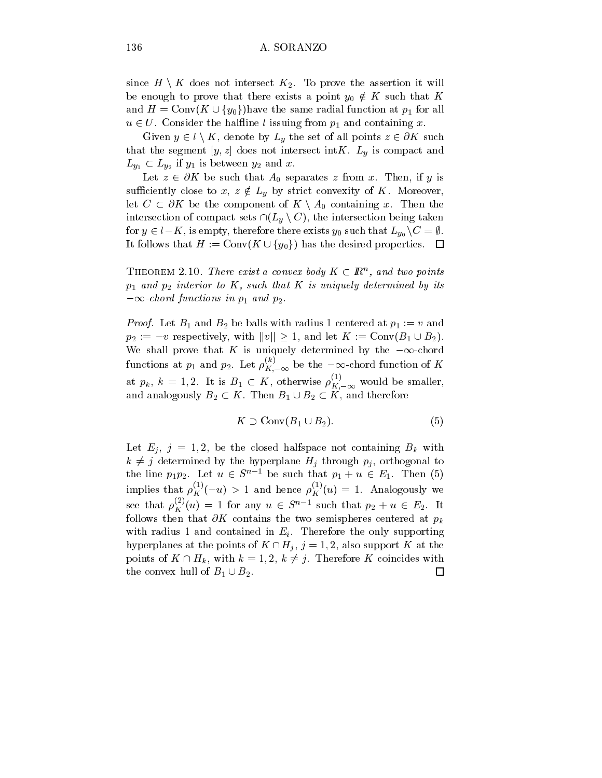since  $H \setminus K$  does not intersect  $K_2$ . To prove the assertion it will be enough to prove that there exists a point  $y_0 \notin K$  such that  $K$ since  $H \setminus K$  does not intersect  $K_2$ . To prove the assertion it will<br>be enough to prove that there exists a point  $y_0 \notin K$  such that  $K$ <br>and  $H = \text{Conv}(K \cup \{y_0\})$  have the same radial function at  $p_1$  for all  $u \in U$ . Consider the halfline l issuing from  $p_1$  and containing x.

Given  $y \in l \setminus K$ , denote by  $L_y$  the set of all points  $z \in \partial K$  such that the segment  $[y, z]$  does not intersect intK.  $L_y$  is compact and  $L_{y_1} \subset L_{y_2}$  if  $y_1$  is between  $y_2$  and  $x$ .

Let  $z \in \partial K$  be such that  $A_0$  separates z from x. Then, if y is sufficiently close to  $x, z \notin L_y$  by strict convexity of K. Moreover, let  $C \subset \partial K$  be the component of  $K \setminus A_0$  containing x. Then the intersection of compact sets  $\cap (L_y \setminus C)$ , the intersection being taken for  $y \in \iota - \kappa$  , is empty, therefore there exists  $y_0$  such that  $L_{y_0} \setminus C = \emptyset$  . intersection of compact sets  $\cap (L_y \setminus C)$ , the intersection being taken<br>for  $y \in l - K$ , is empty, therefore there exists  $y_0$  such that  $L_{y_0} \setminus C = \emptyset$ .<br>It follows that  $H := \text{Conv}(K \cup \{y_0\})$  has the desired properties.  $\Box$ 

**THEOREM 2.10. There exist a convex boay**  $K \subseteq I\!\!R^+$ **, and two points**  $p_1$  and  $p_2$  interior to K, such that K is uniquely determined by its  $-\infty$ -chora functions in  $p_1$  and  $p_2$ .

Proof. Let  $P$  and B2 be balls with radius 1 centered at  $p$   $\bf{1}$  := v and  $\bf{2}$ *Proof.* Let  $B_1$  and  $B_2$  be balls with radius 1 centered at  $p_1 := v$  and  $p_2 := -v$  respectively, with  $||v|| \ge 1$ , and let  $K := \text{Conv}(B_1 \cup B_2)$ . We shall prove that K is uniquely determined by the  $-\infty$ -chord functions at  $p_1$  and  $p_2$ . Let  $\rho_{K, -\infty}^{\infty}$  be the  $-\infty$ -chord function of K at  $p_k$ ,  $k = 1, 2$ . It is  $B_1 \subset K$ , otherwise  $\rho_{K, -\infty}^{\infty}$  would be smaller, and analogously  $B_2 \subset \mathbf{A}$ . Then  $B_1 \cup B_2 \subset \mathbf{A}$ , and therefore

$$
K \supset \text{Conv}(B_1 \cup B_2). \tag{5}
$$

Let  $E_j$ ,  $j = 1, 2$ , be the closed halfspace not containing  $B_k$  with  $k \neq j$  determined by the hyperplane  $H_j$  through  $p_j$ , orthogonal to the line  $p_1p_2$ . Let  $u \in S^{n-1}$  be such that  $p_1 + u \in E_1$ . Then (5) implies that  $\rho_K^{\vee}(-u) > 1$  and hence  $\rho_K^{\vee}(u) = 1$ . Analogously we see that  $\rho_K(u) = 1$  for any  $u \in S^{n-1}$  such that  $p_2 + u \in E_2$ . It follows then that  $\partial K$  contains the two semispheres centered at  $p_k$ with radius 1 and contained in  $E_i$ . Therefore the only supporting hyperplanes at the points of  $K \cap H_j$ ,  $j = 1, 2$ , also support K at the points of  $K \cap H_k$ , with  $k = 1, 2, k \neq j$ . Therefore K coincides with the convex hull of  $B_1 \cup B_2$ .  $\Box$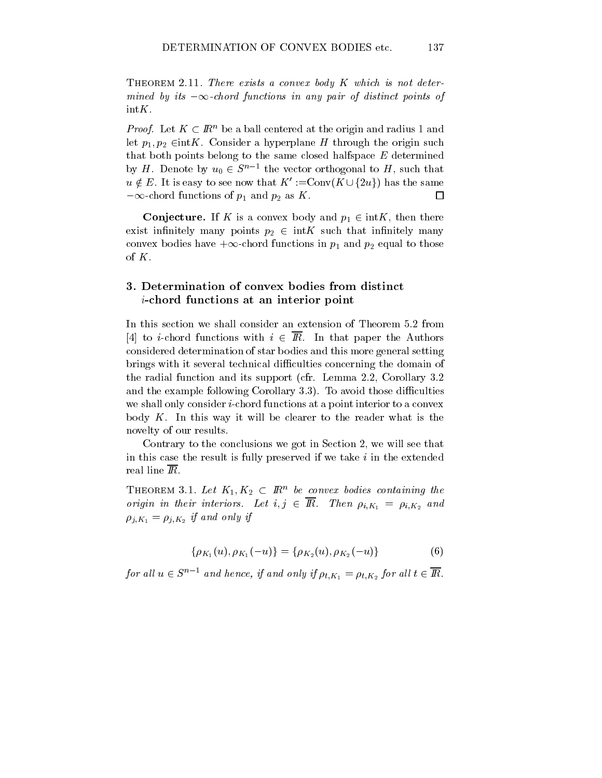137

THEOREM 2.11. There exists a convex body  $K$  which is not determined by its  $-\infty$ -chord functions in any pair of distinct points of intK.

*Proof.* Let  $A \subset I\!\!R^+$  be a ball centered at the origin and radius 1 and let  $p_1, p_2 \in \text{int}K$ . Consider a hyperplane H through the origin such that both points belong to the same closed halfspace  $E$  determined that both points belong to the same closed halfspace E determined<br>by H. Denote by  $u_0 \in S^{n-1}$  the vector orthogonal to H, such that<br> $u \notin E$ . It is easy to see now that  $K' := \text{Conv}(K \cup \{2u\})$  has the same by  $H$ . Denote by  $u_0 \in S^+$  the vector orthogonal to  $H$ , such that  $-\infty$ -chord functions of  $p_1$  and  $p_2$  as K.  $\Box$ 

**Conjecture.** If K is a convex body and  $p_1 \in \text{int}K$ , then there exist infinitely many points  $p_2 \in \text{int } K$  such that infinitely many convex bodies have  $+\infty$ -chord functions in  $p_1$  and  $p_2$  equal to those of  $K$ .

## 3. Determination of convex bodies from distinct i-chord functions at an interior point

In this section we shall consider an extension of Theorem 5.2 from [4] to *i*-chord functions with  $i \in \overline{R}$ . In that paper the Authors considered determination of star bodies and this more general setting brings with it several technical difficulties concerning the domain of the radial function and its support (cfr. Lemma 2.2, Corollary 3.2 and the example following Corollary  $3.3$ ). To avoid those difficulties we shall only consider *i*-chord functions at a point interior to a convex body  $K$ . In this way it will be clearer to the reader what is the novelty of our results.

Contrary to the conclusions we got in Section 2, we will see that in this case the result is fully preserved if we take  $i$  in the extended real line IR.

**THEOREM 3.1. Let**  $\mathbf{A}_1, \mathbf{A}_2 \subseteq \mathbf{R}$  be convex boates containing the origin in their interiors. Let  $i, j \in$  IK. Then  $\rho_{i,K_1} = \rho_{i,K_2}$  and  $\mu_{1,K_1} = \mu_{1,K_2}$  if and only if

$$
\{\rho_{K_1}(u), \rho_{K_1}(-u)\} = \{\rho_{K_2}(u), \rho_{K_2}(-u)\}\tag{6}
$$

for an  $u \in S^{n-1}$  and hence, if and only if  $\rho_{t,K_1} = \rho_{t,K_2}$  for an  $t \in I\!\!K.$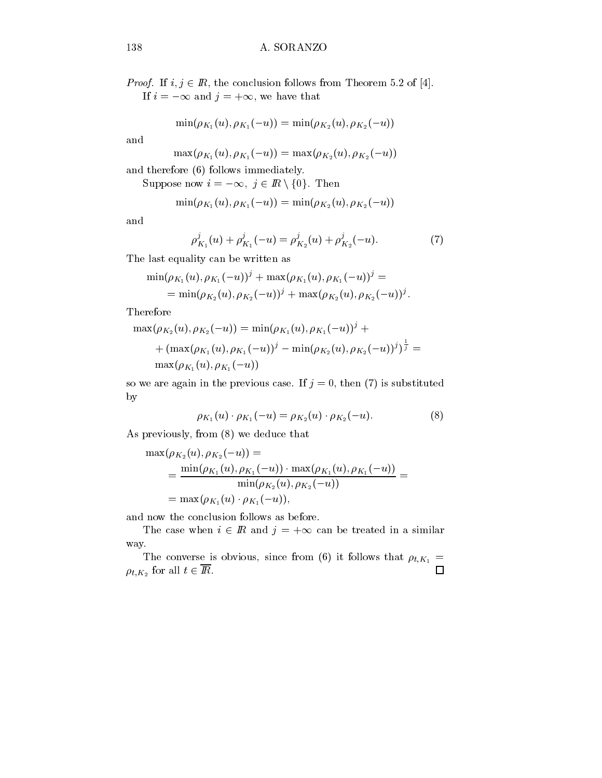*Proof.* If  $i, j \in I\!\!R$ , the conclusion follows from Theorem 5.2 of [4]. If  $i = -\infty$  and  $j = +\infty$ , we have that

$$
\min(\rho_{K_1}(u), \rho_{K_1}(-u)) = \min(\rho_{K_2}(u), \rho_{K_2}(-u))
$$

and

$$
\max(\rho_{K_1}(u), \rho_{K_1}(-u)) = \max(\rho_{K_2}(u), \rho_{K_2}(-u))
$$
  
d therefore (6) follows immediately.  
Suppose now  $i = -\infty$ ,  $j \in \mathbb{R} \setminus \{0\}$ . Then

and therefore (6) follows immediately.

$$
\min(\rho_{K_1}(u), \rho_{K_1}(-u)) = \min(\rho_{K_2}(u), \rho_{K_2}(-u))
$$

and

$$
\rho_{K_1}^j(u) + \rho_{K_1}^j(-u) = \rho_{K_2}^j(u) + \rho_{K_2}^j(-u). \tag{7}
$$

The last equality can be written as

$$
\begin{aligned} \min(\rho_{K_1}(u),\rho_{K_1}(-u))^j+\max(\rho_{K_1}(u),\rho_{K_1}(-u))^j= \\ =\min(\rho_{K_2}(u),\rho_{K_2}(-u))^j+\max(\rho_{K_2}(u),\rho_{K_2}(-u))^j. \end{aligned}
$$

Therefore

$$
\max(\rho_{K_2}(u), \rho_{K_2}(-u)) = \min(\rho_{K_1}(u), \rho_{K_1}(-u))^j + + (\max(\rho_{K_1}(u), \rho_{K_1}(-u))^j - \min(\rho_{K_2}(u), \rho_{K_2}(-u))^j)^{\frac{1}{j}} = \max(\rho_{K_1}(u), \rho_{K_1}(-u))
$$

so we are again in the previous case. If  $j = 0$ , then (7) is substituted by

$$
\rho_{K_1}(u) \cdot \rho_{K_1}(-u) = \rho_{K_2}(u) \cdot \rho_{K_2}(-u). \tag{8}
$$

As previously, from (8) we deduce that

$$
\max(\rho_{K_2}(u), \rho_{K_2}(-u)) = \\ = \frac{\min(\rho_{K_1}(u), \rho_{K_1}(-u)) \cdot \max(\rho_{K_1}(u), \rho_{K_1}(-u))}{\min(\rho_{K_2}(u), \rho_{K_2}(-u))} = \\ = \max(\rho_{K_1}(u) \cdot \rho_{K_1}(-u)),
$$

and now the conclusion follows as before.

The case when  $i \in \mathbb{R}$  and  $j = +\infty$  can be treated in a similar

way.<br>The converse is obvious, since from (6) it follows that  $\rho_{t,K_1} =$  $\Box$  $\rho_{t,K_2}$  for all  $t \in I\!\!R$ .